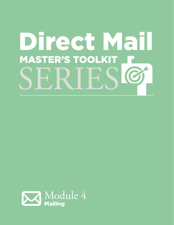# Direct Mail **MASTER'S TOOLKIT F** SERIESL

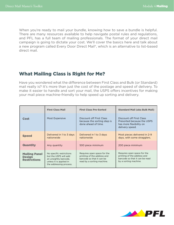When you're ready to mail your bundle, knowing how to save a bundle is helpful. There are many resources available to help navigate postal rules and regulations, and PFL has a full team of mailing professionals. The format of your direct mail campaign is going to dictate your cost. We'll cover the basics here and talk about a new program called Every Door Direct Mail®, which is an alternative to list-based direct mail.

# What Mailing Class is Right for Me?

Have you wondered what the difference between First Class and Bulk (or Standard) mail really is? It's more than just the cost of the postage and speed of delivery. To make it easier to handle and sort your mail, the USPS offers incentives for making your mail piece machine-friendly to help speed up sorting and delivery.

|                                                              | <b>First Class Mail</b>                                                                                                          | <b>First Class Pre-Sorted</b>                                                                                         | <b>Standard Mail (aka Bulk Mail)</b>                                                                                  |
|--------------------------------------------------------------|----------------------------------------------------------------------------------------------------------------------------------|-----------------------------------------------------------------------------------------------------------------------|-----------------------------------------------------------------------------------------------------------------------|
| Cost                                                         | Most Expensive                                                                                                                   | Discount off First Class<br>because the sorting step is<br>done ahead of time.                                        | Discount off First Class<br>Presorted because the USPS<br>has more flexibility on<br>delivery speed.                  |
| <b>Speed</b>                                                 | Delivered in 1 to 3 days<br>nationwide                                                                                           | Delivered in 1 to 3 days<br>nationwide                                                                                | Most pieces delivered in 2-9<br>days, with some stragglers.                                                           |
| <b>Quantity</b>                                              | Any quantity                                                                                                                     | 500 piece minimum                                                                                                     | 200 piece minimum                                                                                                     |
| <b>Mailing Panel</b><br><b>Design</b><br><b>Restrictions</b> | No specific restrictions<br>but the USPS will add<br>an unsightly barcode.<br>unless it is applied in<br>the addressing process. | Requires open space for the<br>printing of the address and<br>barcode so that it can be<br>read by a sorting machine. | Requires open space for the<br>printing of the address and<br>barcode so that it can be read<br>by a sorting machine. |

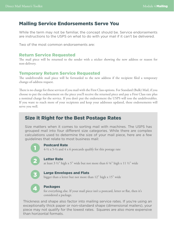## Mailing Service Endorsements Serve You

While the term may not be familiar, the concept should be. Service endorsements are instructions to the USPS on what to do with your mail if it can't be delivered.

Two of the most common endorsements are:

#### Return Service Requested

The mail piece will be returned to the sender with a sticker showing the new address or reason for non-delivery.

#### Temporary Return Service Requested

The undeliverable mail piece will be forwarded to the new address if the recipient filed a temporary change-of-address request.

There is no charge for these services if you mail with the First Class options. For Standard (Bulk) Mail, if you choose to put the endorsement on the piece you'll receive the returned piece and pay a First Class rate plus a nominal charge for the service. If you don't put the endorsement the USPS will toss the undeliverables. If you want to reach more of your recipients and keep your addresses updated, these endorsements will serve you well.

# Size it Right for the Best Postage Rates

Size matters when it comes to sorting mail with machines. The USPS has grouped mail into four different size categories. While there are complex calculations used to determine the size of your mail piece, here are a few guidelines that relate to most business mail:



#### Postcard Rate

 $4-\frac{1}{2} \times 5-\frac{1}{2}$  and  $4 \times 6$  postcards qualify for this postage rate

2

#### Letter Rate

at least  $3\frac{1}{2}$ " high x  $5$ " wide but not more than  $6\frac{1}{8}$ " high x  $11\frac{1}{2}$ " wide



#### Large Envelopes and Flats

bigger than a letter but not more than 12" high x 15" wide



#### Packages

for everything else. If your mail piece isn't a postcard, letter or flat, then it's considered a package.

Thickness and shape also factor into mailing service rates. If you're using an exceptionally thick paper or non-standard shape (dimensional mailers), your piece may not qualify for the lowest rates. Squares are also more expensive than horizontal formats.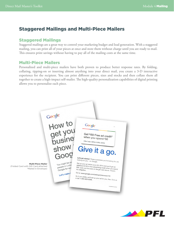# Staggered Mailings and Multi-Piece Mailers

### Staggered Mailings

Staggered mailings are a great way to control your marketing budget and lead generation. With a staggered mailing, you can print all of your pieces at once and store them without charge until you are ready to mail. This ensures print savings without having to pay all of the mailing costs at the same time.

#### Multi-Piece Mailers

Personalized and multi-piece mailers have both proven to produce better response rates. By folding, collating, tipping-on or inserting almost anything into your direct mail, you create a 3-D interactive experience for the recipient. You can print different pieces, sizes and stocks and then collate them all together to create a high-impact self-mailer. The high-quality personalization capabilities of digital printing allows you to personalize each piece.



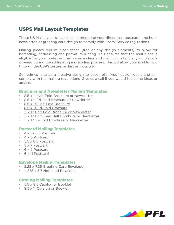# USPS Mail Layout Templates

These US Mail layout guides help in preparing your direct mail postcard, brochure, newsletter, or greeting card design to comply with Postal Service regulations.

Mailing pieces require clear space (free of any design elements) to allow for barcoding, addressing and permit imprinting. This ensures that the mail piece is eligible for your preferred mail service class and that no content in your piece is covered during the addressing and mailing process. This will allow your mail to flow through the USPS system as fast as possible.

Sometimes it takes a creative design to accomplish your design goals and still comply with the mailing regulations. Give us a call if you would like some ideas or advice.

#### Brochure and Newsletter Mailing Templates

- [8.5 x 11 Half-Fold Brochure or Newsletter](http://www.printingforless.com/templates/mailing/8.5x11_Half_Fold.pdf)
- [8.5 x 11 Tri-Fold Brochure or Newsletter](http://www.printingforless.com/templates/mailing/8.5x11_Tri_Fold.pdf)
- [8.5 x 14 Half-Fold Brochure](http://www.printingforless.com/templates/mailing/8.5x14_Half_Fold.pdf)
- [8.5 x 14 Tri-Fold Brochure](http://www.printingforless.com/templates/mailing/8.5x14_Tri_Fold.pdf)
- [11 x 17 Half-Fold Brochure or Newsletter](http://www.printingforless.com/templates/mailing/11x17_Half_Fold.pdf)
- [11 x 17 Half-Then-Half Brochure or Newsletter](http://www.printingforless.com/templates/mailing/11x17_Half_Then_Half.pdf)
- [11 x 17 Tri-Fold Brochure or Newsletter](http://www.printingforless.com/templates/mailing/11x17_Tri_Fold.pdf)

#### Postcard Mailing Templates

- [4.25 x 5.5 Postcard](http://www.printingforless.com/templates/mailing/4.25x5.5_Postcard.pdf)
- [4 x 6 Postcard](http://www.printingforless.com/templates/mailing/4x6_Postcard.pdf)
- [5.5 x 8.5 Postcard](http://www.printingforless.com/templates/mailing/5.5X8.5_Postcard.pdf)
- [5 x 7 Postcard](http://www.printingforless.com/templates/mailing/5x7_Postcards.pdf)
- [6 x 9 Postcard](http://www.printingforless.com/templates/mailing/6x9_Postcard.pdf)
- [6 x 11 Postcard](http://www.printingforless.com/templates/mailing/6x11_Postcard.pdf)

#### Envelope Mailing Templates

- 5[.25 x 7.25 Greeting Card Envelope](http://www.printingforless.com/templates/mailing/5.25x7.25_Envelope.pdf)
- [4.375 x 5.7 Notecard Envelope](http://www.printingforless.com/templates/mailing/4.375x5.75_Envelope.pdf)

#### Catalog Mailing Templates

- [5.5 x 8.5 Catalog or Booklet](http://www.printingforless.com/templates/mailing/5.5x8.5_Catalog.pdf)
- [8.5 x 11 Catalog or Booklet](http://www.printingforless.com/templates/mailing/8.5x11_Catalog.pdf)

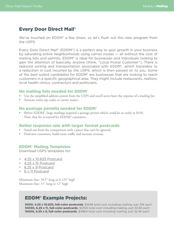# Every Door Direct Mail®

We've touched on EDDM<sup>®</sup> a few times, so let's flush out this new program from the USPS.

Every Door Direct Mail<sup>®</sup> (EDDM<sup>®</sup>) is a perfect way to spur growth in your business by saturating entire neighborhoods using carrier routes — all without the cost of mailing lists and permits. EDDM® is ideal for businesses and individuals looking to gain the attention of basically, anyone (think, "Local Postal Customer"). There is reduced sorting and transportation associated with EDDM®, which translates to a reduction in cost incurred by the USPS, which is then passed on to you. Some of the best suited candidates for EDDM® are businesses that are looking to reach customers in a specific geographical area. They might include restaurants, realtors, local health clinics, contractors and politicians.

#### No mailing lists needed for EDDM®

- Use the simplified address system from the USPS and you'll never have the expense of a mailing list.
- Saturate entire zip codes or carrier routes.

#### No postage permits needed for EDDM®

• Before EDDM<sup>®</sup>, large mailings required a postage permit which could be as costly as \$450. Now, that fee is waived for EDDM® customers.

#### Better response rate with larger format postcards

- Stand out from the competition with a piece that can't be ignored.
- Find new customers, build more traffic and increase revenue.

#### EDDM® Mailing Templates

Download USPS templates for:

- [4.25 x 10.625 Postcard](http://www.printingforless.com/templates/EDDM/4.25x10.625_EDDM.pdf)
- [4.25 x 15 Postcard](http://www.printingforless.com/templates/EDDM/4.25x15_EDDM.pdf)
- [6.25 x 9 Postcard](http://www.printingforless.com/templates/EDDM/6.25x9_EDDM.pdf)
- [6 x 11 Postcard](http://www.printingforless.com/templates/EDDM/6x11EDDM_postcard.pdf)

Minimum Size: 10.5" long or 6.125" high Maximum Size: 15" long or 12" high

# EDDM® Example Projects:

5000, 4.25 x 10.625, full-color postcards, \$1648 total cost including mailing, just 33¢ each 10000, 6.25 x 11, full-color postcards, \$3355 total cost including mailing, just 33.6¢ each **15000, 6.25 x 9, full-color postcards**, \$4864 total cost including mailing, just 32.4¢ each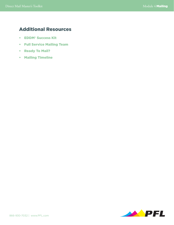# Additional Resources

- [EDDM® Success Kit](http://www.printingforless.com/EDDM-Success-Kit.html?j=36654303&e=shayla@pfl.com&l=4407686_HTML&u=450809129&mid=78218&jb=0&utm_medium=Email&utm_source=EDDM%20Idea%20Kit)
- [Full Service Mailing Team](http://www.printingforless.com/Mailing-Services-Guide.html)
- [Ready To Mail?](http://www.printingforless.com/Mailer-Printing.html)
- [Mailing Timeline](http://www.printingforless.com/Mailing-Timeline.html)